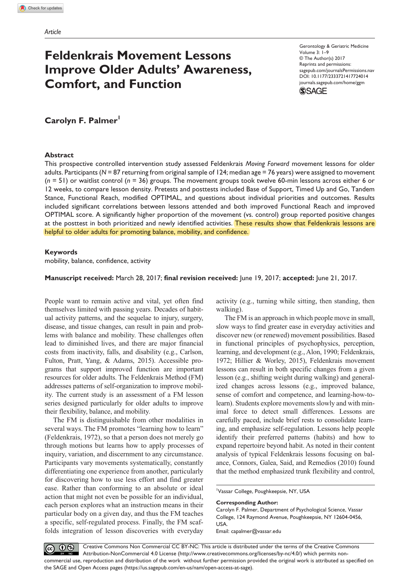# **Feldenkrais Movement Lessons Improve Older Adults' Awareness, Comfort, and Function**

https://doi.org/10.1177/2333721417724014 DOI: 10.1177/2333721417724014 Gerontology & Geriatric Medicine Volume 3: 1–9 © The Author(s) 2017 Reprints and permissions: [sagepub.com/journalsPermissions.nav](https://us.sagepub.com/en-us/journals-permissions) [journals.sagepub.com/home/ggm](https://journals.sagepub.com/home/ggm)



Carolyn F. Palmer<sup>1</sup>

#### **Abstract**

This prospective controlled intervention study assessed Feldenkrais *Moving Forward* movement lessons for older adults. Participants (*N* = 87 returning from original sample of 124; median age = 76 years) were assigned to movement (*n* = 51) or waitlist control (*n* = 36) groups. The movement groups took twelve 60-min lessons across either 6 or 12 weeks, to compare lesson density. Pretests and posttests included Base of Support, Timed Up and Go, Tandem Stance, Functional Reach, modified OPTIMAL, and questions about individual priorities and outcomes. Results included significant correlations between lessons attended and both improved Functional Reach and improved OPTIMAL score. A significantly higher proportion of the movement (vs. control) group reported positive changes at the posttest in both prioritized and newly identified activities. These results show that Feldenkrais lessons are helpful to older adults for promoting balance, mobility, and confidence.

#### **Keywords**

mobility, balance, confidence, activity

**Manuscript received:** March 28, 2017; **final revision received:** June 19, 2017; **accepted:** June 21, 2017.

People want to remain active and vital, yet often find themselves limited with passing years. Decades of habitual activity patterns, and the sequelae to injury, surgery, disease, and tissue changes, can result in pain and problems with balance and mobility. These challenges often lead to diminished lives, and there are major financial costs from inactivity, falls, and disability (e.g., Carlson, Fulton, Pratt, Yang, & Adams, 2015). Accessible programs that support improved function are important resources for older adults. The Feldenkrais Method (FM) addresses patterns of self-organization to improve mobility. The current study is an assessment of a FM lesson series designed particularly for older adults to improve their flexibility, balance, and mobility.

The FM is distinguishable from other modalities in several ways. The FM promotes "learning how to learn" (Feldenkrais, 1972), so that a person does not merely go through motions but learns how to apply processes of inquiry, variation, and discernment to any circumstance. Participants vary movements systematically, constantly differentiating one experience from another, particularly for discovering how to use less effort and find greater ease. Rather than conforming to an absolute or ideal action that might not even be possible for an individual, each person explores what an instruction means in their particular body on a given day, and thus the FM teaches a specific, self-regulated process. Finally, the FM scaffolds integration of lesson discoveries with everyday

activity (e.g., turning while sitting, then standing, then walking).

The FM is an approach in which people move in small, slow ways to find greater ease in everyday activities and discover new (or renewed) movement possibilities. Based in functional principles of psychophysics, perception, learning, and development (e.g., Alon, 1990; Feldenkrais, 1972; Hillier & Worley, 2015), Feldenkrais movement lessons can result in both specific changes from a given lesson (e.g., shifting weight during walking) and generalized changes across lessons (e.g., improved balance, sense of comfort and competence, and learning-how-tolearn). Students explore movements slowly and with minimal force to detect small differences. Lessons are carefully paced, include brief rests to consolidate learning, and emphasize self-regulation. Lessons help people identify their preferred patterns (habits) and how to expand repertoire beyond habit. As noted in their content analysis of typical Feldenkrais lessons focusing on balance, Connors, Galea, Said, and Remedios (2010) found that the method emphasized trunk flexibility and control,

<sup>1</sup>Vassar College, Poughkeepsie, NY, USA

**Corresponding Author:**

Carolyn F. Palmer, Department of Psychological Science, Vassar College, 124 Raymond Avenue, Poughkeepsie, NY 12604-0456, **USA** 

Email: [capalmer@vassar.edu](mailto:capalmer@vassar.edu)

<u>@ 0®</u> Creative Commons Non Commercial CC BY-NC: This article is distributed under the terms of the Creative Commons Attribution-NonCommercial 4.0 License (http://www.creativecommons.org/licenses/by-nc/4.0/) which permits noncommercial use, reproduction and distribution of the work without further permission provided the original work is attributed as specified on the SAGE and Open Access pages (https://us.sagepub.com/en-us/nam/open-access-at-sage).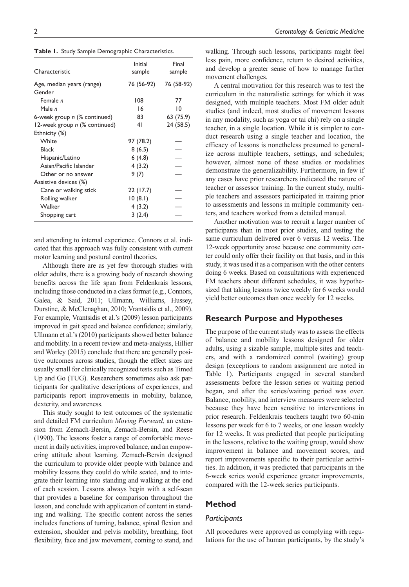**Table 1.** Study Sample Demographic Characteristics.

| Characteristic                | Initial<br>sample | Final<br>sample |
|-------------------------------|-------------------|-----------------|
| Age, median years (range)     | 76 (56-92)        | 76 (58-92)      |
| Gender                        |                   |                 |
| Female n                      | 108               | 77              |
| Male n                        | 16                | 10              |
| 6-week group n (% continued)  | 83                | 63 (75.9)       |
| 12-week group n (% continued) | 41                | 24 (58.5)       |
| Ethnicity (%)                 |                   |                 |
| White                         | 97 (78.2)         |                 |
| <b>Black</b>                  | 8(6.5)            |                 |
| Hispanic/Latino               | 6(4.8)            |                 |
| Asian/Pacific Islander        | 4(3.2)            |                 |
| Other or no answer            | 9(7)              |                 |
| Assistive devices (%)         |                   |                 |
| Cane or walking stick         | 22 (17.7)         |                 |
| Rolling walker                | 10 (8.1)          |                 |
| Walker                        | 4(3.2)            |                 |
| Shopping cart                 | 3(2.4)            |                 |

and attending to internal experience. Connors et al. indicated that this approach was fully consistent with current motor learning and postural control theories.

Although there are as yet few thorough studies with older adults, there is a growing body of research showing benefits across the life span from Feldenkrais lessons, including those conducted in a class format (e.g., Connors, Galea, & Said, 2011; Ullmann, Williams, Hussey, Durstine, & McClenaghan, 2010; Vrantsidis et al., 2009). For example, Vrantsidis et al.'s (2009) lesson participants improved in gait speed and balance confidence; similarly, Ullmann et al.'s (2010) participants showed better balance and mobility. In a recent review and meta-analysis, Hillier and Worley (2015) conclude that there are generally positive outcomes across studies, though the effect sizes are usually small for clinically recognized tests such as Timed Up and Go (TUG). Researchers sometimes also ask participants for qualitative descriptions of experiences, and participants report improvements in mobility, balance, dexterity, and awareness.

This study sought to test outcomes of the systematic and detailed FM curriculum *Moving Forward*, an extension from Zemach-Bersin, Zemach-Bersin, and Reese (1990). The lessons foster a range of comfortable movement in daily activities, improved balance, and an empowering attitude about learning. Zemach-Bersin designed the curriculum to provide older people with balance and mobility lessons they could do while seated, and to integrate their learning into standing and walking at the end of each session. Lessons always begin with a self-scan that provides a baseline for comparison throughout the lesson, and conclude with application of content in standing and walking. The specific content across the series includes functions of turning, balance, spinal flexion and extension, shoulder and pelvis mobility, breathing, foot flexibility, face and jaw movement, coming to stand, and

walking. Through such lessons, participants might feel less pain, more confidence, return to desired activities, and develop a greater sense of how to manage further movement challenges.

A central motivation for this research was to test the curriculum in the naturalistic settings for which it was designed, with multiple teachers. Most FM older adult studies (and indeed, most studies of movement lessons in any modality, such as yoga or tai chi) rely on a single teacher, in a single location. While it is simpler to conduct research using a single teacher and location, the efficacy of lessons is nonetheless presumed to generalize across multiple teachers, settings, and schedules; however, almost none of these studies or modalities demonstrate the generalizability. Furthermore, in few if any cases have prior researchers indicated the nature of teacher or assessor training. In the current study, multiple teachers and assessors participated in training prior to assessments and lessons in multiple community centers, and teachers worked from a detailed manual.

Another motivation was to recruit a larger number of participants than in most prior studies, and testing the same curriculum delivered over 6 versus 12 weeks. The 12-week opportunity arose because one community center could only offer their facility on that basis, and in this study, it was used it as a comparison with the other centers doing 6 weeks. Based on consultations with experienced FM teachers about different schedules, it was hypothesized that taking lessons twice weekly for 6 weeks would yield better outcomes than once weekly for 12 weeks.

## **Research Purpose and Hypotheses**

The purpose of the current study was to assess the effects of balance and mobility lessons designed for older adults, using a sizable sample, multiple sites and teachers, and with a randomized control (waiting) group design (exceptions to random assignment are noted in Table 1). Participants engaged in several standard assessments before the lesson series or waiting period began, and after the series/waiting period was over. Balance, mobility, and interview measures were selected because they have been sensitive to interventions in prior research. Feldenkrais teachers taught two 60-min lessons per week for 6 to 7 weeks, or one lesson weekly for 12 weeks. It was predicted that people participating in the lessons, relative to the waiting group, would show improvement in balance and movement scores, and report improvements specific to their particular activities. In addition, it was predicted that participants in the 6-week series would experience greater improvements, compared with the 12-week series participants.

# **Method**

#### *Participants*

All procedures were approved as complying with regulations for the use of human participants, by the study's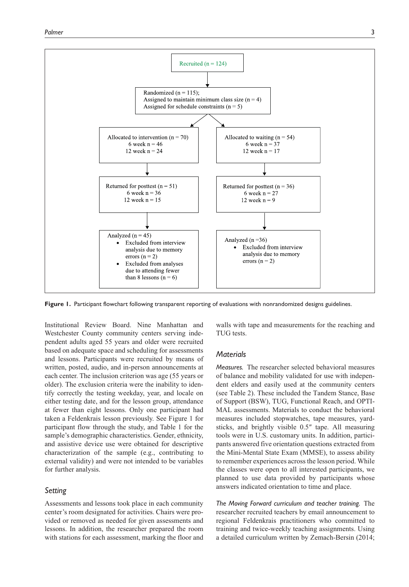

**Figure 1.** Participant flowchart following transparent reporting of evaluations with nonrandomized designs guidelines.

Institutional Review Board. Nine Manhattan and Westchester County community centers serving independent adults aged 55 years and older were recruited based on adequate space and scheduling for assessments and lessons. Participants were recruited by means of written, posted, audio, and in-person announcements at each center. The inclusion criterion was age (55 years or older). The exclusion criteria were the inability to identify correctly the testing weekday, year, and locale on either testing date, and for the lesson group, attendance at fewer than eight lessons. Only one participant had taken a Feldenkrais lesson previously. See Figure 1 for participant flow through the study, and Table 1 for the sample's demographic characteristics. Gender, ethnicity, and assistive device use were obtained for descriptive characterization of the sample (e.g., contributing to external validity) and were not intended to be variables for further analysis.

## *Setting*

Assessments and lessons took place in each community center's room designated for activities. Chairs were provided or removed as needed for given assessments and lessons. In addition, the researcher prepared the room with stations for each assessment, marking the floor and

walls with tape and measurements for the reaching and TUG tests.

## *Materials*

*Measures.* The researcher selected behavioral measures of balance and mobility validated for use with independent elders and easily used at the community centers (see Table 2). These included the Tandem Stance, Base of Support (BSW), TUG, Functional Reach, and OPTI-MAL assessments. Materials to conduct the behavioral measures included stopwatches, tape measures, yardsticks, and brightly visible 0.5″ tape. All measuring tools were in U.S. customary units. In addition, participants answered five orientation questions extracted from the Mini-Mental State Exam (MMSE), to assess ability to remember experiences across the lesson period. While the classes were open to all interested participants, we planned to use data provided by participants whose answers indicated orientation to time and place.

*The Moving Forward curriculum and teacher training.* The researcher recruited teachers by email announcement to regional Feldenkrais practitioners who committed to training and twice-weekly teaching assignments. Using a detailed curriculum written by Zemach-Bersin (2014;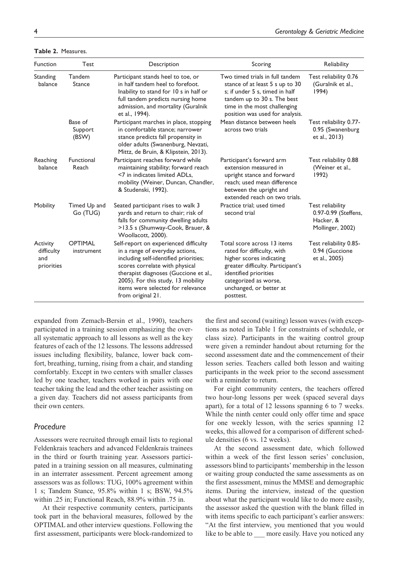**Table 2.** Measures.

| Function                                    | <b>Test</b>                  | Description                                                                                                                                                                                                                                                                                  | Scoring                                                                                                                                                                                                              | Reliability                                                               |
|---------------------------------------------|------------------------------|----------------------------------------------------------------------------------------------------------------------------------------------------------------------------------------------------------------------------------------------------------------------------------------------|----------------------------------------------------------------------------------------------------------------------------------------------------------------------------------------------------------------------|---------------------------------------------------------------------------|
| Standing<br>balance                         | Tandem<br><b>Stance</b>      | Participant stands heel to toe, or<br>in half tandem heel to forefoot.<br>Inability to stand for 10 s in half or<br>full tandem predicts nursing home<br>admission, and mortality (Guralnik<br>et al., 1994).                                                                                | Two timed trials in full tandem<br>stance of at least 5 s up to 30<br>s; if under 5 s, timed in half<br>tandem up to 30 s. The best<br>time in the most challenging<br>position was used for analysis.               | Test reliability 0.76<br>(Guralnik et al.,<br>1994)                       |
|                                             | Base of<br>Support<br>(BSW)  | Participant marches in place, stopping<br>in comfortable stance: narrower<br>stance predicts fall propensity in<br>older adults (Swanenburg, Nevzati,<br>Mittz, de Bruin, & Klipstein, 2013).                                                                                                | Mean distance between heels<br>across two trials                                                                                                                                                                     | Test reliability 0.77-<br>0.95 (Swanenburg)<br>et al., 2013)              |
| Reaching<br>balance                         | Functional<br>Reach          | Participant reaches forward while<br>maintaining stability; forward reach<br><7 in indicates limited ADLs.<br>mobility (Weiner, Duncan, Chandler,<br>& Studenski, 1992).                                                                                                                     | Participant's forward arm<br>extension measured in<br>upright stance and forward<br>reach: used mean difference<br>between the upright and<br>extended reach on two trials.                                          | Test reliability 0.88<br>(Weiner et al.,<br>1992)                         |
| Mobility                                    | Timed Up and<br>Go (TUG)     | Seated participant rises to walk 3<br>yards and return to chair; risk of<br>falls for community dwelling adults<br>>13.5 s (Shumway-Cook, Brauer, &<br>Woollacott, 2000).                                                                                                                    | Practice trial; used timed<br>second trial                                                                                                                                                                           | Test reliability<br>0.97-0.99 (Steffens,<br>Hacker, &<br>Mollinger, 2002) |
| Activity<br>difficulty<br>and<br>priorities | <b>OPTIMAL</b><br>instrument | Self-report on experienced difficulty<br>in a range of everyday actions,<br>including self-identified priorities;<br>scores correlate with physical<br>therapist diagnoses (Guccione et al.,<br>2005). For this study, 13 mobility<br>items were selected for relevance<br>from original 21. | Total score across 13 items<br>rated for difficulty, with<br>higher scores indicating<br>greater difficulty. Participant's<br>identified priorities<br>categorized as worse,<br>unchanged, or better at<br>posttest. | Test reliability 0.85-<br>0.94 (Guccione<br>et al., 2005)                 |

expanded from Zemach-Bersin et al., 1990), teachers participated in a training session emphasizing the overall systematic approach to all lessons as well as the key features of each of the 12 lessons. The lessons addressed issues including flexibility, balance, lower back comfort, breathing, turning, rising from a chair, and standing comfortably. Except in two centers with smaller classes led by one teacher, teachers worked in pairs with one teacher taking the lead and the other teacher assisting on a given day. Teachers did not assess participants from their own centers.

## *Procedure*

Assessors were recruited through email lists to regional Feldenkrais teachers and advanced Feldenkrais trainees in the third or fourth training year. Assessors participated in a training session on all measures, culminating in an interrater assessment. Percent agreement among assessors was as follows: TUG, 100% agreement within 1 s; Tandem Stance, 95.8% within 1 s; BSW, 94.5% within .25 in; Functional Reach, 88.9% within .75 in.

At their respective community centers, participants took part in the behavioral measures, followed by the OPTIMAL and other interview questions. Following the first assessment, participants were block-randomized to

the first and second (waiting) lesson waves (with exceptions as noted in Table 1 for constraints of schedule, or class size). Participants in the waiting control group were given a reminder handout about returning for the second assessment date and the commencement of their lesson series. Teachers called both lesson and waiting participants in the week prior to the second assessment with a reminder to return.

For eight community centers, the teachers offered two hour-long lessons per week (spaced several days apart), for a total of 12 lessons spanning 6 to 7 weeks. While the ninth center could only offer time and space for one weekly lesson, with the series spanning 12 weeks, this allowed for a comparison of different schedule densities (6 vs. 12 weeks).

At the second assessment date, which followed within a week of the first lesson series' conclusion, assessors blind to participants' membership in the lesson or waiting group conducted the same assessments as on the first assessment, minus the MMSE and demographic items. During the interview, instead of the question about what the participant would like to do more easily, the assessor asked the question with the blank filled in with items specific to each participant's earlier answers: "At the first interview, you mentioned that you would like to be able to \_\_\_\_ more easily. Have you noticed any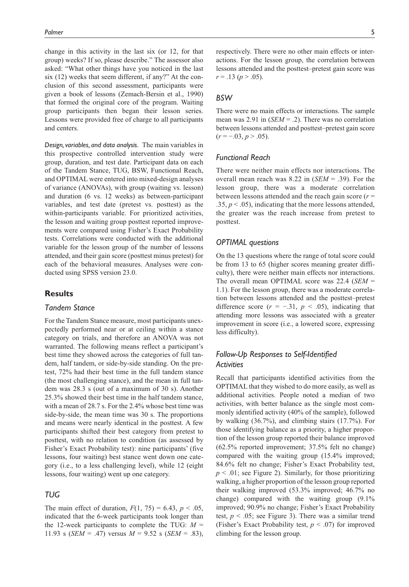change in this activity in the last six (or 12, for that group) weeks? If so, please describe." The assessor also asked: "What other things have you noticed in the last six (12) weeks that seem different, if any?" At the conclusion of this second assessment, participants were given a book of lessons (Zemach-Bersin et al., 1990) that formed the original core of the program. Waiting group participants then began their lesson series. Lessons were provided free of charge to all participants and centers.

*Design, variables, and data analysis.* The main variables in this prospective controlled intervention study were group, duration, and test date. Participant data on each of the Tandem Stance, TUG, BSW, Functional Reach, and OPTIMAL were entered into mixed-design analyses of variance (ANOVAs), with group (waiting vs. lesson) and duration (6 vs. 12 weeks) as between-participant variables, and test date (pretest vs. posttest) as the within-participants variable. For prioritized activities, the lesson and waiting group posttest reported improvements were compared using Fisher's Exact Probability tests. Correlations were conducted with the additional variable for the lesson group of the number of lessons attended, and their gain score (posttest minus pretest) for each of the behavioral measures. Analyses were conducted using SPSS version 23.0.

## **Results**

### *Tandem Stance*

For the Tandem Stance measure, most participants unexpectedly performed near or at ceiling within a stance category on trials, and therefore an ANOVA was not warranted. The following means reflect a participant's best time they showed across the categories of full tandem, half tandem, or side-by-side standing. On the pretest, 72% had their best time in the full tandem stance (the most challenging stance), and the mean in full tandem was 28.3 s (out of a maximum of 30 s). Another 25.3% showed their best time in the half tandem stance, with a mean of 28.7 s. For the 2.4% whose best time was side-by-side, the mean time was 30 s. The proportions and means were nearly identical in the posttest. A few participants shifted their best category from pretest to posttest, with no relation to condition (as assessed by Fisher's Exact Probability test): nine participants' (five lessons, four waiting) best stance went down one category (i.e., to a less challenging level), while 12 (eight lessons, four waiting) went up one category.

## *TUG*

The main effect of duration,  $F(1, 75) = 6.43$ ,  $p < .05$ , indicated that the 6-week participants took longer than the 12-week participants to complete the TUG:  $M =$ 11.93 s (*SEM* = .47) versus *M* = 9.52 s (*SEM* = .83),

respectively. There were no other main effects or interactions. For the lesson group, the correlation between lessons attended and the posttest–pretest gain score was  $r = .13 (p > .05).$ 

#### *BSW*

There were no main effects or interactions. The sample mean was 2.91 in (*SEM* = .2). There was no correlation between lessons attended and posttest–pretest gain score  $(r = -.03, p > .05).$ 

#### *Functional Reach*

There were neither main effects nor interactions. The overall mean reach was 8.22 in (*SEM* = .39). For the lesson group, there was a moderate correlation between lessons attended and the reach gain score (*r* = .35,  $p < .05$ ), indicating that the more lessons attended, the greater was the reach increase from pretest to posttest.

## *OPTIMAL questions*

On the 13 questions where the range of total score could be from 13 to 65 (higher scores meaning greater difficulty), there were neither main effects nor interactions. The overall mean OPTIMAL score was 22.4 (*SEM* = 1.1). For the lesson group, there was a moderate correlation between lessons attended and the posttest–pretest difference score  $(r = -.31, p < .05)$ , indicating that attending more lessons was associated with a greater improvement in score (i.e., a lowered score, expressing less difficulty).

# *Follow-Up Responses to Self-Identified Activities*

Recall that participants identified activities from the OPTIMAL that they wished to do more easily, as well as additional activities. People noted a median of two activities, with better balance as the single most commonly identified activity (40% of the sample), followed by walking (36.7%), and climbing stairs (17.7%). For those identifying balance as a priority, a higher proportion of the lesson group reported their balance improved (62.5% reported improvement; 37.5% felt no change) compared with the waiting group (15.4% improved; 84.6% felt no change; Fisher's Exact Probability test,  $p < .01$ ; see Figure 2). Similarly, for those prioritizing walking, a higher proportion of the lesson group reported their walking improved (53.3% improved; 46.7% no change) compared with the waiting group (9.1% improved; 90.9% no change; Fisher's Exact Probability test,  $p < .05$ ; see Figure 3). There was a similar trend (Fisher's Exact Probability test, *p* < .07) for improved climbing for the lesson group.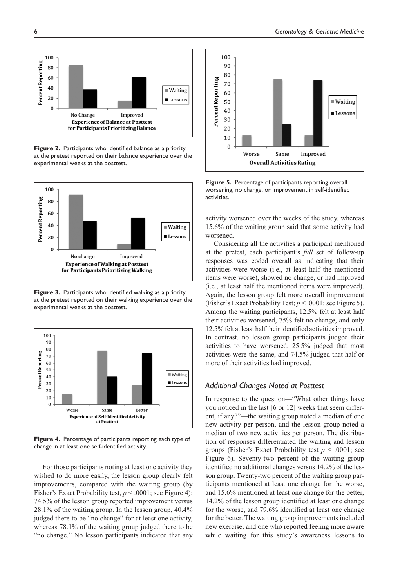

**Figure 2.** Participants who identified balance as a priority at the pretest reported on their balance experience over the experimental weeks at the posttest.



**Figure 3.** Participants who identified walking as a priority at the pretest reported on their walking experience over the experimental weeks at the posttest.



**Figure 4.** Percentage of participants reporting each type of change in at least one self-identified activity.

For those participants noting at least one activity they wished to do more easily, the lesson group clearly felt improvements, compared with the waiting group (by Fisher's Exact Probability test,  $p < .0001$ ; see Figure 4): 74.5% of the lesson group reported improvement versus 28.1% of the waiting group. In the lesson group, 40.4% judged there to be "no change" for at least one activity, whereas 78.1% of the waiting group judged there to be "no change." No lesson participants indicated that any



**Figure 5.** Percentage of participants reporting overall worsening, no change, or improvement in self-identified activities.

activity worsened over the weeks of the study, whereas 15.6% of the waiting group said that some activity had worsened.

Considering all the activities a participant mentioned at the pretest, each participant's *full* set of follow-up responses was coded overall as indicating that their activities were worse (i.e., at least half the mentioned items were worse), showed no change, or had improved (i.e., at least half the mentioned items were improved). Again, the lesson group felt more overall improvement (Fisher's Exact Probability Test; *p* < .0001; see Figure 5). Among the waiting participants, 12.5% felt at least half their activities worsened, 75% felt no change, and only 12.5% felt at least half their identified activities improved. In contrast, no lesson group participants judged their activities to have worsened, 25.5% judged that most activities were the same, and 74.5% judged that half or more of their activities had improved.

## *Additional Changes Noted at Posttest*

In response to the question—"What other things have you noticed in the last [6 or 12] weeks that seem different, if any?"—the waiting group noted a median of one new activity per person, and the lesson group noted a median of two new activities per person. The distribution of responses differentiated the waiting and lesson groups (Fisher's Exact Probability test *p* < .0001; see Figure 6). Seventy-two percent of the waiting group identified no additional changes versus 14.2% of the lesson group. Twenty-two percent of the waiting group participants mentioned at least one change for the worse, and 15.6% mentioned at least one change for the better, 14.2% of the lesson group identified at least one change for the worse, and 79.6% identified at least one change for the better. The waiting group improvements included new exercise, and one who reported feeling more aware while waiting for this study's awareness lessons to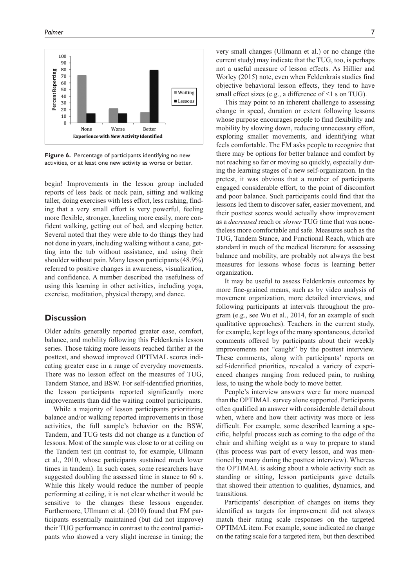

**Figure 6.** Percentage of participants identifying no new activities, or at least one new activity as worse or better.

begin! Improvements in the lesson group included reports of less back or neck pain, sitting and walking taller, doing exercises with less effort, less rushing, finding that a very small effort is very powerful, feeling more flexible, stronger, kneeling more easily, more confident walking, getting out of bed, and sleeping better. Several noted that they were able to do things they had not done in years, including walking without a cane, getting into the tub without assistance, and using their shoulder without pain. Many lesson participants (48.9%) referred to positive changes in awareness, visualization, and confidence. A number described the usefulness of using this learning in other activities, including yoga, exercise, meditation, physical therapy, and dance.

## **Discussion**

Older adults generally reported greater ease, comfort, balance, and mobility following this Feldenkrais lesson series. Those taking more lessons reached farther at the posttest, and showed improved OPTIMAL scores indicating greater ease in a range of everyday movements. There was no lesson effect on the measures of TUG, Tandem Stance, and BSW. For self-identified priorities, the lesson participants reported significantly more improvements than did the waiting control participants.

While a majority of lesson participants prioritizing balance and/or walking reported improvements in those activities, the full sample's behavior on the BSW, Tandem, and TUG tests did not change as a function of lessons. Most of the sample was close to or at ceiling on the Tandem test (in contrast to, for example, Ullmann et al., 2010, whose participants sustained much lower times in tandem). In such cases, some researchers have suggested doubling the assessed time in stance to 60 s. While this likely would reduce the number of people performing at ceiling, it is not clear whether it would be sensitive to the changes these lessons engender. Furthermore, Ullmann et al. (2010) found that FM participants essentially maintained (but did not improve) their TUG performance in contrast to the control participants who showed a very slight increase in timing; the very small changes (Ullmann et al.) or no change (the current study) may indicate that the TUG, too, is perhaps not a useful measure of lesson effects. As Hillier and Worley (2015) note, even when Feldenkrais studies find objective behavioral lesson effects, they tend to have small effect sizes (e.g., a difference of  $\leq 1$  s on TUG).

This may point to an inherent challenge to assessing change in speed, duration or extent following lessons whose purpose encourages people to find flexibility and mobility by slowing down, reducing unnecessary effort, exploring smaller movements, and identifying what feels comfortable. The FM asks people to recognize that there may be options for better balance and comfort by not reaching so far or moving so quickly, especially during the learning stages of a new self-organization. In the pretest, it was obvious that a number of participants engaged considerable effort, to the point of discomfort and poor balance. Such participants could find that the lessons led them to discover safer, easier movement, and their posttest scores would actually show improvement as a *decreased* reach or *slower* TUG time that was nonetheless more comfortable and safe. Measures such as the TUG, Tandem Stance, and Functional Reach, which are standard in much of the medical literature for assessing balance and mobility, are probably not always the best measures for lessons whose focus is learning better organization.

It may be useful to assess Feldenkrais outcomes by more fine-grained means, such as by video analysis of movement organization, more detailed interviews, and following participants at intervals throughout the program (e.g., see Wu et al., 2014, for an example of such qualitative approaches). Teachers in the current study, for example, kept logs of the many spontaneous, detailed comments offered by participants about their weekly improvements not "caught" by the posttest interview. These comments, along with participants' reports on self-identified priorities, revealed a variety of experienced changes ranging from reduced pain, to rushing less, to using the whole body to move better.

People's interview answers were far more nuanced than the OPTIMAL survey alone supported. Participants often qualified an answer with considerable detail about when, where and how their activity was more or less difficult. For example, some described learning a specific, helpful process such as coming to the edge of the chair and shifting weight as a way to prepare to stand (this process was part of every lesson, and was mentioned by many during the posttest interview). Whereas the OPTIMAL is asking about a whole activity such as standing or sitting, lesson participants gave details that showed their attention to qualities, dynamics, and transitions.

Participants' description of changes on items they identified as targets for improvement did not always match their rating scale responses on the targeted OPTIMAL item. For example, some indicated no change on the rating scale for a targeted item, but then described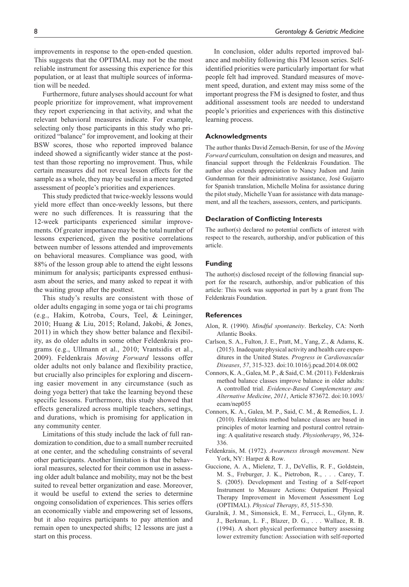improvements in response to the open-ended question. This suggests that the OPTIMAL may not be the most reliable instrument for assessing this experience for this population, or at least that multiple sources of information will be needed.

Furthermore, future analyses should account for what people prioritize for improvement, what improvement they report experiencing in that activity, and what the relevant behavioral measures indicate. For example, selecting only those participants in this study who prioritized "balance" for improvement, and looking at their BSW scores, those who reported improved balance indeed showed a significantly wider stance at the posttest than those reporting no improvement. Thus, while certain measures did not reveal lesson effects for the sample as a whole, they may be useful in a more targeted assessment of people's priorities and experiences.

This study predicted that twice-weekly lessons would yield more effect than once-weekly lessons, but there were no such differences. It is reassuring that the 12-week participants experienced similar improvements. Of greater importance may be the total number of lessons experienced, given the positive correlations between number of lessons attended and improvements on behavioral measures. Compliance was good, with 88% of the lesson group able to attend the eight lessons minimum for analysis; participants expressed enthusiasm about the series, and many asked to repeat it with the waiting group after the posttest.

This study's results are consistent with those of older adults engaging in some yoga or tai chi programs (e.g., Hakim, Kotroba, Cours, Teel, & Leininger, 2010; Huang & Liu, 2015; Roland, Jakobi, & Jones, 2011) in which they show better balance and flexibility, as do older adults in some other Feldenkrais programs (e.g., Ullmann et al., 2010; Vrantsidis et al., 2009). Feldenkrais *Moving Forward* lessons offer older adults not only balance and flexibility practice, but crucially also principles for exploring and discerning easier movement in any circumstance (such as doing yoga better) that take the learning beyond these specific lessons. Furthermore, this study showed that effects generalized across multiple teachers, settings, and durations, which is promising for application in any community center.

Limitations of this study include the lack of full randomization to condition, due to a small number recruited at one center, and the scheduling constraints of several other participants. Another limitation is that the behavioral measures, selected for their common use in assessing older adult balance and mobility, may not be the best suited to reveal better organization and ease. Moreover, it would be useful to extend the series to determine ongoing consolidation of experiences. This series offers an economically viable and empowering set of lessons, but it also requires participants to pay attention and remain open to unexpected shifts; 12 lessons are just a start on this process.

In conclusion, older adults reported improved balance and mobility following this FM lesson series. Selfidentified priorities were particularly important for what people felt had improved. Standard measures of movement speed, duration, and extent may miss some of the important progress the FM is designed to foster, and thus additional assessment tools are needed to understand people's priorities and experiences with this distinctive learning process.

#### **Acknowledgments**

The author thanks David Zemach-Bersin, for use of the *Moving Forward* curriculum, consultation on design and measures, and financial support through the Feldenkrais Foundation. The author also extends appreciation to Nancy Judson and Janin Gunderman for their administrative assistance, José Guijarro for Spanish translation, Michelle Molina for assistance during the pilot study, Michelle Yuan for assistance with data management, and all the teachers, assessors, centers, and participants.

#### **Declaration of Conflicting Interests**

The author(s) declared no potential conflicts of interest with respect to the research, authorship, and/or publication of this article.

#### **Funding**

The author(s) disclosed receipt of the following financial support for the research, authorship, and/or publication of this article: This work was supported in part by a grant from The Feldenkrais Foundation.

#### **References**

- Alon, R. (1990). *Mindful spontaneity*. Berkeley, CA: North Atlantic Books.
- Carlson, S. A., Fulton, J. E., Pratt, M., Yang, Z., & Adams, K. (2015). Inadequate physical activity and health care expenditures in the United States. *Progress in Cardiovascular Diseases*, *57*, 315-323. doi:10.1016/j.pcad.2014.08.002
- Connors, K. A., Galea, M. P., & Said, C. M. (2011). Feldenkrais method balance classes improve balance in older adults: A controlled trial. *Evidence-Based Complementary and Alternative Medicine*, *2011*, Article 873672. doi:10.1093/ ecam/nep055
- Connors, K. A., Galea, M. P., Said, C. M., & Remedios, L. J. (2010). Feldenkrais method balance classes are based in principles of motor learning and postural control retraining: A qualitative research study. *Physiotherapy*, *96*, 324- 336.
- Feldenkrais, M. (1972). *Awareness through movement*. New York, NY: Harper & Row.
- Guccione, A. A., Mielenz, T. J., DeVellis, R. F., Goldstein, M. S., Freburger, J. K., Pietrobon, R., . . . Carey, T. S. (2005). Development and Testing of a Self-report Instrument to Measure Actions: Outpatient Physical Therapy Improvement in Movement Assessment Log (OPTIMAL). *Physical Therapy*, *85*, 515-530.
- Guralnik, J. M., Simonsick, E. M., Ferrucci, L., Glynn, R. J., Berkman, L. F., Blazer, D. G., . . . Wallace, R. B. (1994). A short physical performance battery assessing lower extremity function: Association with self-reported